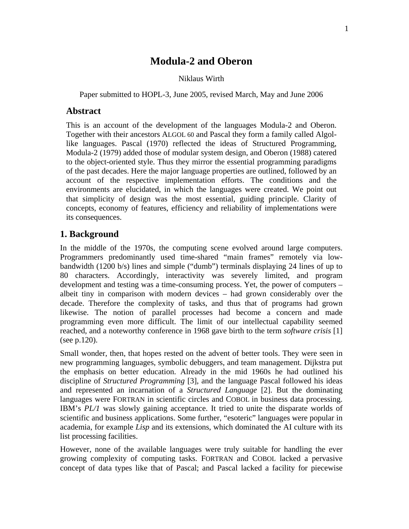# **Modula-2 and Oberon**

### Niklaus Wirth

Paper submitted to HOPL-3, June 2005, revised March, May and June 2006

### **Abstract**

This is an account of the development of the languages Modula-2 and Oberon. Together with their ancestors ALGOL 60 and Pascal they form a family called Algollike languages. Pascal (1970) reflected the ideas of Structured Programming, Modula-2 (1979) added those of modular system design, and Oberon (1988) catered to the object-oriented style. Thus they mirror the essential programming paradigms of the past decades. Here the major language properties are outlined, followed by an account of the respective implementation efforts. The conditions and the environments are elucidated, in which the languages were created. We point out that simplicity of design was the most essential, guiding principle. Clarity of concepts, economy of features, efficiency and reliability of implementations were its consequences.

# **1. Background**

In the middle of the 1970s, the computing scene evolved around large computers. Programmers predominantly used time-shared "main frames" remotely via lowbandwidth (1200 b/s) lines and simple ("dumb") terminals displaying 24 lines of up to 80 characters. Accordingly, interactivity was severely limited, and program development and testing was a time-consuming process. Yet, the power of computers – albeit tiny in comparison with modern devices – had grown considerably over the decade. Therefore the complexity of tasks, and thus that of programs had grown likewise. The notion of parallel processes had become a concern and made programming even more difficult. The limit of our intellectual capability seemed reached, and a noteworthy conference in 1968 gave birth to the term *software crisis* [1] (see p.120).

Small wonder, then, that hopes rested on the advent of better tools. They were seen in new programming languages, symbolic debuggers, and team management. Dijkstra put the emphasis on better education. Already in the mid 1960s he had outlined his discipline of *Structured Programming* [3], and the language Pascal followed his ideas and represented an incarnation of a *Structured Language* [2]. But the dominating languages were FORTRAN in scientific circles and COBOL in business data processing. IBM's *PL/1* was slowly gaining acceptance. It tried to unite the disparate worlds of scientific and business applications. Some further, "esoteric" languages were popular in academia, for example *Lisp* and its extensions, which dominated the AI culture with its list processing facilities.

However, none of the available languages were truly suitable for handling the ever growing complexity of computing tasks. FORTRAN and COBOL lacked a pervasive concept of data types like that of Pascal; and Pascal lacked a facility for piecewise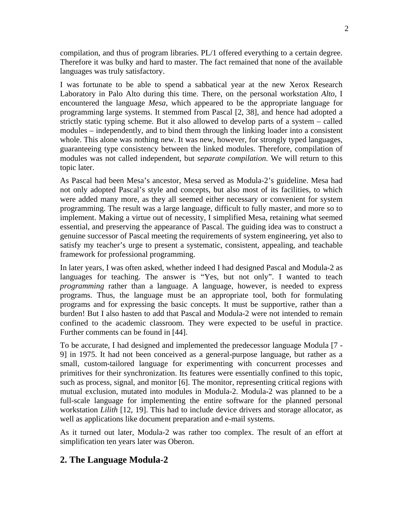compilation, and thus of program libraries. PL/1 offered everything to a certain degree. Therefore it was bulky and hard to master. The fact remained that none of the available languages was truly satisfactory.

I was fortunate to be able to spend a sabbatical year at the new Xerox Research Laboratory in Palo Alto during this time. There, on the personal workstation *Alto*, I encountered the language *Mesa*, which appeared to be the appropriate language for programming large systems. It stemmed from Pascal [2, 38], and hence had adopted a strictly static typing scheme. But it also allowed to develop parts of a system – called modules – independently, and to bind them through the linking loader into a consistent whole. This alone was nothing new. It was new, however, for strongly typed languages, guaranteeing type consistency between the linked modules. Therefore, compilation of modules was not called independent, but *separate compilation*. We will return to this topic later.

As Pascal had been Mesa's ancestor, Mesa served as Modula-2's guideline. Mesa had not only adopted Pascal's style and concepts, but also most of its facilities, to which were added many more, as they all seemed either necessary or convenient for system programming. The result was a large language, difficult to fully master, and more so to implement. Making a virtue out of necessity, I simplified Mesa, retaining what seemed essential, and preserving the appearance of Pascal. The guiding idea was to construct a genuine successor of Pascal meeting the requirements of system engineering, yet also to satisfy my teacher's urge to present a systematic, consistent, appealing, and teachable framework for professional programming.

In later years, I was often asked, whether indeed I had designed Pascal and Modula-2 as languages for teaching. The answer is "Yes, but not only". I wanted to teach *programming* rather than a language. A language, however, is needed to express programs. Thus, the language must be an appropriate tool, both for formulating programs and for expressing the basic concepts. It must be supportive, rather than a burden! But I also hasten to add that Pascal and Modula-2 were not intended to remain confined to the academic classroom. They were expected to be useful in practice. Further comments can be found in [44].

To be accurate, I had designed and implemented the predecessor language Modula [7 - 9] in 1975. It had not been conceived as a general-purpose language, but rather as a small, custom-tailored language for experimenting with concurrent processes and primitives for their synchronization. Its features were essentially confined to this topic, such as process, signal, and monitor [6]. The monitor, representing critical regions with mutual exclusion, mutated into modules in Modula-2. Modula-2 was planned to be a full-scale language for implementing the entire software for the planned personal workstation *Lilith* [12, 19]. This had to include device drivers and storage allocator, as well as applications like document preparation and e-mail systems.

As it turned out later, Modula-2 was rather too complex. The result of an effort at simplification ten years later was Oberon.

## **2. The Language Modula-2**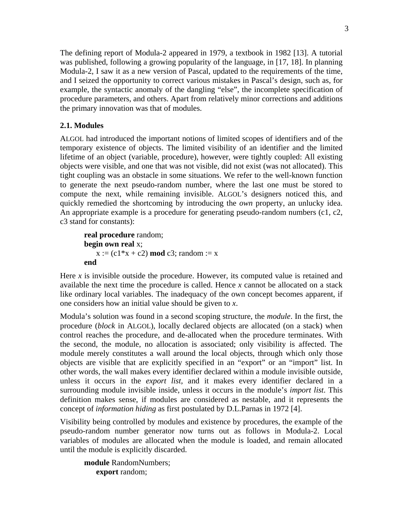The defining report of Modula-2 appeared in 1979, a textbook in 1982 [13]. A tutorial was published, following a growing popularity of the language, in [17, 18]. In planning Modula-2, I saw it as a new version of Pascal, updated to the requirements of the time, and I seized the opportunity to correct various mistakes in Pascal's design, such as, for example, the syntactic anomaly of the dangling "else", the incomplete specification of procedure parameters, and others. Apart from relatively minor corrections and additions the primary innovation was that of modules.

# **2.1. Modules**

ALGOL had introduced the important notions of limited scopes of identifiers and of the temporary existence of objects. The limited visibility of an identifier and the limited lifetime of an object (variable, procedure), however, were tightly coupled: All existing objects were visible, and one that was not visible, did not exist (was not allocated). This tight coupling was an obstacle in some situations. We refer to the well-known function to generate the next pseudo-random number, where the last one must be stored to compute the next, while remaining invisible. ALGOL's designers noticed this, and quickly remedied the shortcoming by introducing the *own* property, an unlucky idea. An appropriate example is a procedure for generating pseudo-random numbers (c1, c2, c3 stand for constants):

```
real procedure random; 
begin own real x; 
   x := (c1*x + c2) \mod c3; random := x
end
```
Here *x* is invisible outside the procedure. However, its computed value is retained and available the next time the procedure is called. Hence *x* cannot be allocated on a stack like ordinary local variables. The inadequacy of the own concept becomes apparent, if one considers how an initial value should be given to *x*.

Modula's solution was found in a second scoping structure, the *module*. In the first, the procedure (*block* in ALGOL), locally declared objects are allocated (on a stack) when control reaches the procedure, and de-allocated when the procedure terminates. With the second, the module, no allocation is associated; only visibility is affected. The module merely constitutes a wall around the local objects, through which only those objects are visible that are explicitly specified in an "export" or an "import" list. In other words, the wall makes every identifier declared within a module invisible outside, unless it occurs in the *export list*, and it makes every identifier declared in a surrounding module invisible inside, unless it occurs in the module's *import list*. This definition makes sense, if modules are considered as nestable, and it represents the concept of *information hiding* as first postulated by D.L.Parnas in 1972 [4].

Visibility being controlled by modules and existence by procedures, the example of the pseudo-random number generator now turns out as follows in Modula-2. Local variables of modules are allocated when the module is loaded, and remain allocated until the module is explicitly discarded.

**module** RandomNumbers; **export** random;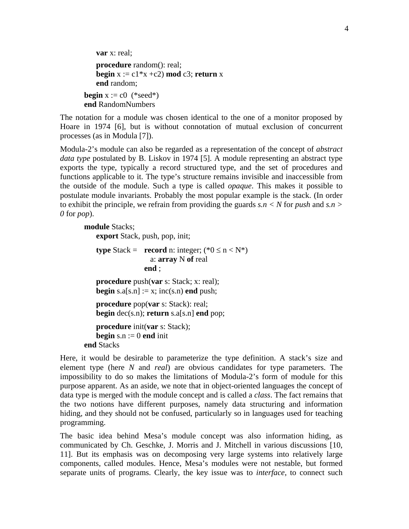```
var x: real; 
   procedure random(): real; 
   begin x := c1*x + c2 mod c3; return x
   end random; 
begin x := c0 (*seed*)
end RandomNumbers
```
The notation for a module was chosen identical to the one of a monitor proposed by Hoare in 1974 [6], but is without connotation of mutual exclusion of concurrent processes (as in Modula [7]).

Modula-2's module can also be regarded as a representation of the concept of *abstract data type* postulated by B. Liskov in 1974 [5]. A module representing an abstract type exports the type, typically a record structured type, and the set of procedures and functions applicable to it. The type's structure remains invisible and inaccessible from the outside of the module. Such a type is called *opaque*. This makes it possible to postulate module invariants. Probably the most popular example is the stack. (In order to exhibit the principle, we refrain from providing the guards  $s.n < N$  for *push* and  $s.n > N$ *0* for *pop*).

```
module Stacks; 
   export Stack, push, pop, init; 
   type Stack = record n: integer; (*0 \le n < N^*) a: array N of real 
                    end ; 
    procedure push(var s: Stack; x: real); 
   begin s.a[s.n] := x; inc(s.n) end push;
   procedure pop(var s: Stack): real; 
    begin dec(s.n); return s.a[s.n] end pop; 
   procedure init(var s: Stack); 
   begin s.n := 0 end init
```
**end** Stacks

Here, it would be desirable to parameterize the type definition. A stack's size and element type (here *N* and *real*) are obvious candidates for type parameters. The impossibility to do so makes the limitations of Modula-2's form of module for this purpose apparent. As an aside, we note that in object-oriented languages the concept of data type is merged with the module concept and is called a *class*. The fact remains that the two notions have different purposes, namely data structuring and information hiding, and they should not be confused, particularly so in languages used for teaching programming.

The basic idea behind Mesa's module concept was also information hiding, as communicated by Ch. Geschke, J. Morris and J. Mitchell in various discussions [10, 11]. But its emphasis was on decomposing very large systems into relatively large components, called modules. Hence, Mesa's modules were not nestable, but formed separate units of programs. Clearly, the key issue was to *interface*, to connect such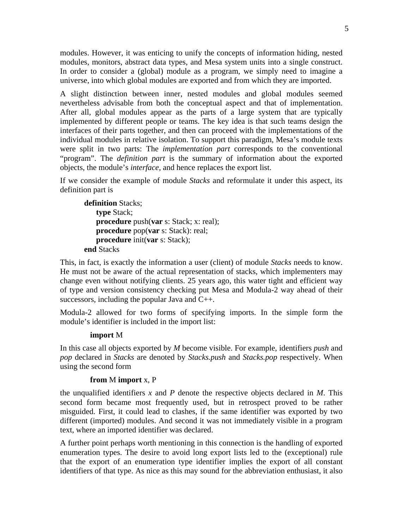modules. However, it was enticing to unify the concepts of information hiding, nested modules, monitors, abstract data types, and Mesa system units into a single construct. In order to consider a (global) module as a program, we simply need to imagine a universe, into which global modules are exported and from which they are imported.

A slight distinction between inner, nested modules and global modules seemed nevertheless advisable from both the conceptual aspect and that of implementation. After all, global modules appear as the parts of a large system that are typically implemented by different people or teams. The key idea is that such teams design the interfaces of their parts together, and then can proceed with the implementations of the individual modules in relative isolation. To support this paradigm, Mesa's module texts were split in two parts: The *implementation part* corresponds to the conventional "program". The *definition part* is the summary of information about the exported objects, the module's *interface,* and hence replaces the export list.

If we consider the example of module *Stacks* and reformulate it under this aspect, its definition part is

**definition** Stacks;  **type** Stack; **procedure** push(**var** s: Stack; x: real); **procedure** pop(**var** s: Stack): real; **procedure** init(**var** s: Stack); **end** Stacks

This, in fact, is exactly the information a user (client) of module *Stacks* needs to know. He must not be aware of the actual representation of stacks, which implementers may change even without notifying clients. 25 years ago, this water tight and efficient way of type and version consistency checking put Mesa and Modula-2 way ahead of their successors, including the popular Java and C++.

Modula-2 allowed for two forms of specifying imports. In the simple form the module's identifier is included in the import list:

### **import** M

In this case all objects exported by *M* become visible. For example, identifiers *push* and *pop* declared in *Stacks* are denoted by *Stacks.push* and *Stacks.pop* respectively. When using the second form

### **from** M **import** x, P

the unqualified identifiers  $x$  and  $P$  denote the respective objects declared in  $M$ . This second form became most frequently used, but in retrospect proved to be rather misguided. First, it could lead to clashes, if the same identifier was exported by two different (imported) modules. And second it was not immediately visible in a program text, where an imported identifier was declared.

A further point perhaps worth mentioning in this connection is the handling of exported enumeration types. The desire to avoid long export lists led to the (exceptional) rule that the export of an enumeration type identifier implies the export of all constant identifiers of that type. As nice as this may sound for the abbreviation enthusiast, it also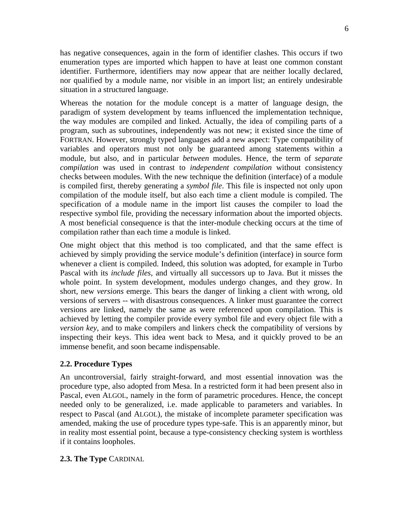has negative consequences, again in the form of identifier clashes. This occurs if two enumeration types are imported which happen to have at least one common constant identifier. Furthermore, identifiers may now appear that are neither locally declared, nor qualified by a module name, nor visible in an import list; an entirely undesirable situation in a structured language.

Whereas the notation for the module concept is a matter of language design, the paradigm of system development by teams influenced the implementation technique, the way modules are compiled and linked. Actually, the idea of compiling parts of a program, such as subroutines, independently was not new; it existed since the time of FORTRAN. However, strongly typed languages add a new aspect: Type compatibility of variables and operators must not only be guaranteed among statements within a module, but also, and in particular *between* modules. Hence, the term of *separate compilation* was used in contrast to *independent compilation* without consistency checks between modules. With the new technique the definition (interface) of a module is compiled first, thereby generating a *symbol file*. This file is inspected not only upon compilation of the module itself, but also each time a client module is compiled. The specification of a module name in the import list causes the compiler to load the respective symbol file, providing the necessary information about the imported objects. A most beneficial consequence is that the inter-module checking occurs at the time of compilation rather than each time a module is linked.

One might object that this method is too complicated, and that the same effect is achieved by simply providing the service module's definition (interface) in source form whenever a client is compiled. Indeed, this solution was adopted, for example in Turbo Pascal with its *include files*, and virtually all successors up to Java. But it misses the whole point. In system development, modules undergo changes, and they grow. In short, new *versions* emerge. This bears the danger of linking a client with wrong, old versions of servers -- with disastrous consequences. A linker must guarantee the correct versions are linked, namely the same as were referenced upon compilation. This is achieved by letting the compiler provide every symbol file and every object file with a *version key*, and to make compilers and linkers check the compatibility of versions by inspecting their keys. This idea went back to Mesa, and it quickly proved to be an immense benefit, and soon became indispensable.

#### **2.2. Procedure Types**

An uncontroversial, fairly straight-forward, and most essential innovation was the procedure type, also adopted from Mesa. In a restricted form it had been present also in Pascal, even ALGOL, namely in the form of parametric procedures. Hence, the concept needed only to be generalized, i.e. made applicable to parameters and variables. In respect to Pascal (and ALGOL), the mistake of incomplete parameter specification was amended, making the use of procedure types type-safe. This is an apparently minor, but in reality most essential point, because a type-consistency checking system is worthless if it contains loopholes.

#### **2.3. The Type** CARDINAL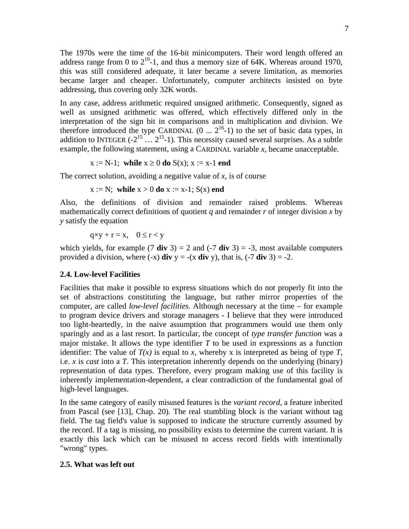The 1970s were the time of the 16-bit minicomputers. Their word length offered an address range from 0 to  $2^{16}$ -1, and thus a memory size of 64K. Whereas around 1970, this was still considered adequate, it later became a severe limitation, as memories became larger and cheaper. Unfortunately, computer architects insisted on byte addressing, thus covering only 32K words.

In any case, address arithmetic required unsigned arithmetic. Consequently, signed as well as unsigned arithmetic was offered, which effectively differed only in the interpretation of the sign bit in comparisons and in multiplication and division. We therefore introduced the type CARDINAL  $(0 \ldots 2^{16} - 1)$  to the set of basic data types, in addition to INTEGER  $(-2^{15} \dots 2^{15}-1)$ . This necessity caused several surprises. As a subtle example, the following statement, using a CARDINAL variable *x*, became unacceptable.

 $x := N-1$ ; while  $x \ge 0$  do  $S(x)$ ;  $x := x-1$  end

The correct solution, avoiding a negative value of *x,* is of course

 $x := N$ ; while  $x > 0$  do  $x := x-1$ ;  $S(x)$  end

Also, the definitions of division and remainder raised problems. Whereas mathematically correct definitions of quotient *q* and remainder *r* of integer division *x* by *y* satisfy the equation

 $q \times y + r = x$ ,  $0 \le r < y$ 

which yields, for example  $(7 \text{ div } 3) = 2$  and  $(-7 \text{ div } 3) = -3$ , most available computers provided a division, where  $(-x)$  div  $y = -(x \div y)$ , that is,  $(-7 \div 3) = -2$ .

#### **2.4. Low-level Facilities**

Facilities that make it possible to express situations which do not properly fit into the set of abstractions constituting the language, but rather mirror properties of the computer, are called *low-level facilities*. Although necessary at the time – for example to program device drivers and storage managers - I believe that they were introduced too light-heartedly, in the naive assumption that programmers would use them only sparingly and as a last resort. In particular, the concept of *type transfer function* was a major mistake. It allows the type identifier *T* to be used in expressions as a function identifier: The value of  $T(x)$  is equal to x, whereby x is interpreted as being of type *T*, i.e. *x* is *cast* into a *T*. This interpretation inherently depends on the underlying (binary) representation of data types. Therefore, every program making use of this facility is inherently implementation-dependent, a clear contradiction of the fundamental goal of high-level languages.

In the same category of easily misused features is the *variant record*, a feature inherited from Pascal (see [13], Chap. 20). The real stumbling block is the variant without tag field. The tag field's value is supposed to indicate the structure currently assumed by the record. If a tag is missing, no possibility exists to determine the current variant. It is exactly this lack which can be misused to access record fields with intentionally "wrong" types.

#### **2.5. What was left out**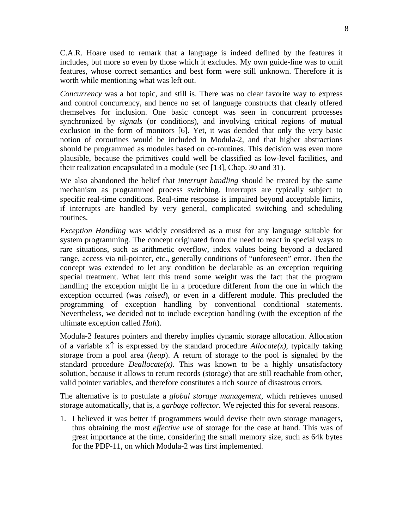C.A.R. Hoare used to remark that a language is indeed defined by the features it includes, but more so even by those which it excludes. My own guide-line was to omit features, whose correct semantics and best form were still unknown. Therefore it is worth while mentioning what was left out.

*Concurrency* was a hot topic, and still is. There was no clear favorite way to express and control concurrency, and hence no set of language constructs that clearly offered themselves for inclusion. One basic concept was seen in concurrent processes synchronized by *signals* (or conditions), and involving critical regions of mutual exclusion in the form of monitors [6]. Yet, it was decided that only the very basic notion of coroutines would be included in Modula-2, and that higher abstractions should be programmed as modules based on co-routines. This decision was even more plausible, because the primitives could well be classified as low-level facilities, and their realization encapsulated in a module (see [13], Chap. 30 and 31).

We also abandoned the belief that *interrupt handling* should be treated by the same mechanism as programmed process switching. Interrupts are typically subject to specific real-time conditions. Real-time response is impaired beyond acceptable limits, if interrupts are handled by very general, complicated switching and scheduling routines.

*Exception Handling* was widely considered as a must for any language suitable for system programming. The concept originated from the need to react in special ways to rare situations, such as arithmetic overflow, index values being beyond a declared range, access via nil-pointer, etc., generally conditions of "unforeseen" error. Then the concept was extended to let any condition be declarable as an exception requiring special treatment. What lent this trend some weight was the fact that the program handling the exception might lie in a procedure different from the one in which the exception occurred (was *raised*), or even in a different module. This precluded the programming of exception handling by conventional conditional statements. Nevertheless, we decided not to include exception handling (with the exception of the ultimate exception called *Halt*).

Modula-2 features pointers and thereby implies dynamic storage allocation. Allocation of a variable  $x \uparrow$  is expressed by the standard procedure *Allocate(x)*, typically taking storage from a pool area (*heap*). A return of storage to the pool is signaled by the standard procedure *Deallocate(x)*. This was known to be a highly unsatisfactory solution, because it allows to return records (storage) that are still reachable from other, valid pointer variables, and therefore constitutes a rich source of disastrous errors.

The alternative is to postulate a *global storage management*, which retrieves unused storage automatically, that is, a *garbage collector.* We rejected this for several reasons.

1. I believed it was better if programmers would devise their own storage managers, thus obtaining the most *effective use* of storage for the case at hand. This was of great importance at the time, considering the small memory size, such as 64k bytes for the PDP-11, on which Modula-2 was first implemented.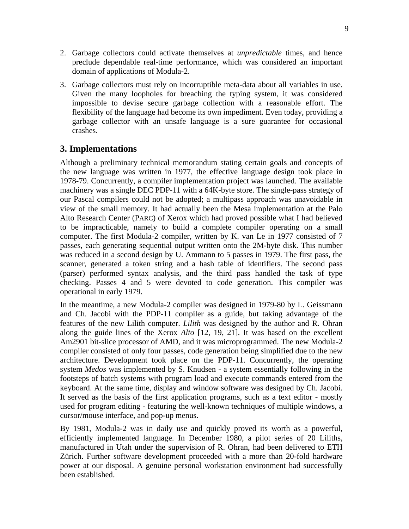- 2. Garbage collectors could activate themselves at *unpredictable* times, and hence preclude dependable real-time performance, which was considered an important domain of applications of Modula-2.
- 3. Garbage collectors must rely on incorruptible meta-data about all variables in use. Given the many loopholes for breaching the typing system, it was considered impossible to devise secure garbage collection with a reasonable effort. The flexibility of the language had become its own impediment. Even today, providing a garbage collector with an unsafe language is a sure guarantee for occasional crashes.

## **3. Implementations**

Although a preliminary technical memorandum stating certain goals and concepts of the new language was written in 1977, the effective language design took place in 1978-79. Concurrently, a compiler implementation project was launched. The available machinery was a single DEC PDP-11 with a 64K-byte store. The single-pass strategy of our Pascal compilers could not be adopted; a multipass approach was unavoidable in view of the small memory. It had actually been the Mesa implementation at the Palo Alto Research Center (PARC) of Xerox which had proved possible what I had believed to be impracticable, namely to build a complete compiler operating on a small computer. The first Modula-2 compiler, written by K. van Le in 1977 consisted of 7 passes, each generating sequential output written onto the 2M-byte disk. This number was reduced in a second design by U. Ammann to 5 passes in 1979. The first pass, the scanner, generated a token string and a hash table of identifiers. The second pass (parser) performed syntax analysis, and the third pass handled the task of type checking. Passes 4 and 5 were devoted to code generation. This compiler was operational in early 1979.

In the meantime, a new Modula-2 compiler was designed in 1979-80 by L. Geissmann and Ch. Jacobi with the PDP-11 compiler as a guide, but taking advantage of the features of the new Lilith computer. *Lilith* was designed by the author and R. Ohran along the guide lines of the Xerox *Alto* [12, 19, 21]. It was based on the excellent Am2901 bit-slice processor of AMD, and it was microprogrammed. The new Modula-2 compiler consisted of only four passes, code generation being simplified due to the new architecture. Development took place on the PDP-11. Concurrently, the operating system *Medos* was implemented by S. Knudsen - a system essentially following in the footsteps of batch systems with program load and execute commands entered from the keyboard. At the same time, display and window software was designed by Ch. Jacobi. It served as the basis of the first application programs, such as a text editor - mostly used for program editing - featuring the well-known techniques of multiple windows, a cursor/mouse interface, and pop-up menus.

By 1981, Modula-2 was in daily use and quickly proved its worth as a powerful, efficiently implemented language. In December 1980, a pilot series of 20 Liliths, manufactured in Utah under the supervision of R. Ohran, had been delivered to ETH Zürich. Further software development proceeded with a more than 20-fold hardware power at our disposal. A genuine personal workstation environment had successfully been established.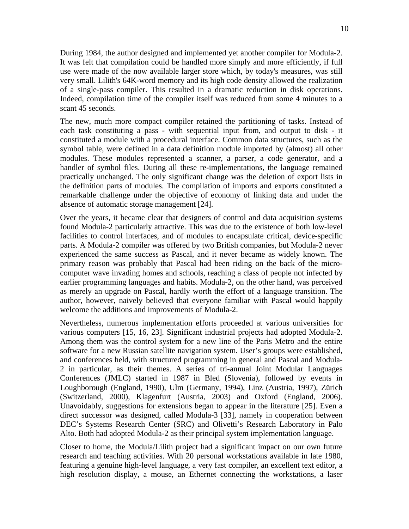During 1984, the author designed and implemented yet another compiler for Modula-2. It was felt that compilation could be handled more simply and more efficiently, if full use were made of the now available larger store which, by today's measures, was still very small. Lilith's 64K-word memory and its high code density allowed the realization of a single-pass compiler. This resulted in a dramatic reduction in disk operations. Indeed, compilation time of the compiler itself was reduced from some 4 minutes to a scant 45 seconds.

The new, much more compact compiler retained the partitioning of tasks. Instead of each task constituting a pass - with sequential input from, and output to disk - it constituted a module with a procedural interface. Common data structures, such as the symbol table, were defined in a data definition module imported by (almost) all other modules. These modules represented a scanner, a parser, a code generator, and a handler of symbol files. During all these re-implementations, the language remained practically unchanged. The only significant change was the deletion of export lists in the definition parts of modules. The compilation of imports and exports constituted a remarkable challenge under the objective of economy of linking data and under the absence of automatic storage management [24].

Over the years, it became clear that designers of control and data acquisition systems found Modula-2 particularly attractive. This was due to the existence of both low-level facilities to control interfaces, and of modules to encapsulate critical, device-specific parts. A Modula-2 compiler was offered by two British companies, but Modula-2 never experienced the same success as Pascal, and it never became as widely known. The primary reason was probably that Pascal had been riding on the back of the microcomputer wave invading homes and schools, reaching a class of people not infected by earlier programming languages and habits. Modula-2, on the other hand, was perceived as merely an upgrade on Pascal, hardly worth the effort of a language transition. The author, however, naively believed that everyone familiar with Pascal would happily welcome the additions and improvements of Modula-2.

Nevertheless, numerous implementation efforts proceeded at various universities for various computers [15, 16, 23]. Significant industrial projects had adopted Modula-2. Among them was the control system for a new line of the Paris Metro and the entire software for a new Russian satellite navigation system. User's groups were established, and conferences held, with structured programming in general and Pascal and Modula-2 in particular, as their themes. A series of tri-annual Joint Modular Languages Conferences (JMLC) started in 1987 in Bled (Slovenia), followed by events in Loughborough (England, 1990), Ulm (Germany, 1994), Linz (Austria, 1997), Zürich (Switzerland, 2000), Klagenfurt (Austria, 2003) and Oxford (England, 2006). Unavoidably, suggestions for extensions began to appear in the literature [25]. Even a direct successor was designed, called Modula-3 [33], namely in cooperation between DEC's Systems Research Center (SRC) and Olivetti's Research Laboratory in Palo Alto. Both had adopted Modula-2 as their principal system implementation language.

Closer to home, the Modula/Lilith project had a significant impact on our own future research and teaching activities. With 20 personal workstations available in late 1980, featuring a genuine high-level language, a very fast compiler, an excellent text editor, a high resolution display, a mouse, an Ethernet connecting the workstations, a laser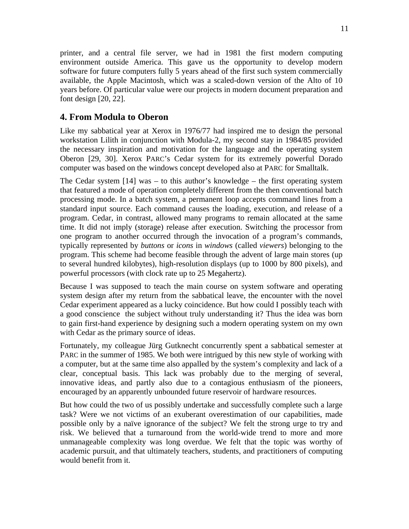printer, and a central file server, we had in 1981 the first modern computing environment outside America. This gave us the opportunity to develop modern software for future computers fully 5 years ahead of the first such system commercially available, the Apple Macintosh, which was a scaled-down version of the Alto of 10 years before. Of particular value were our projects in modern document preparation and font design [20, 22].

# **4. From Modula to Oberon**

Like my sabbatical year at Xerox in 1976/77 had inspired me to design the personal workstation Lilith in conjunction with Modula-2, my second stay in 1984/85 provided the necessary inspiration and motivation for the language and the operating system Oberon [29, 30]. Xerox PARC's Cedar system for its extremely powerful Dorado computer was based on the windows concept developed also at PARC for Smalltalk.

The Cedar system  $[14]$  was – to this author's knowledge – the first operating system that featured a mode of operation completely different from the then conventional batch processing mode. In a batch system, a permanent loop accepts command lines from a standard input source. Each command causes the loading, execution, and release of a program. Cedar, in contrast, allowed many programs to remain allocated at the same time. It did not imply (storage) release after execution. Switching the processor from one program to another occurred through the invocation of a program's commands, typically represented by *buttons* or *icons* in *windows* (called *viewers*) belonging to the program. This scheme had become feasible through the advent of large main stores (up to several hundred kilobytes), high-resolution displays (up to 1000 by 800 pixels), and powerful processors (with clock rate up to 25 Megahertz).

Because I was supposed to teach the main course on system software and operating system design after my return from the sabbatical leave, the encounter with the novel Cedar experiment appeared as a lucky coincidence. But how could I possibly teach with a good conscience the subject without truly understanding it? Thus the idea was born to gain first-hand experience by designing such a modern operating system on my own with Cedar as the primary source of ideas.

Fortunately, my colleague Jürg Gutknecht concurrently spent a sabbatical semester at PARC in the summer of 1985. We both were intrigued by this new style of working with a computer, but at the same time also appalled by the system's complexity and lack of a clear, conceptual basis. This lack was probably due to the merging of several, innovative ideas, and partly also due to a contagious enthusiasm of the pioneers, encouraged by an apparently unbounded future reservoir of hardware resources.

But how could the two of us possibly undertake and successfully complete such a large task? Were we not victims of an exuberant overestimation of our capabilities, made possible only by a naïve ignorance of the subject? We felt the strong urge to try and risk. We believed that a turnaround from the world-wide trend to more and more unmanageable complexity was long overdue. We felt that the topic was worthy of academic pursuit, and that ultimately teachers, students, and practitioners of computing would benefit from it.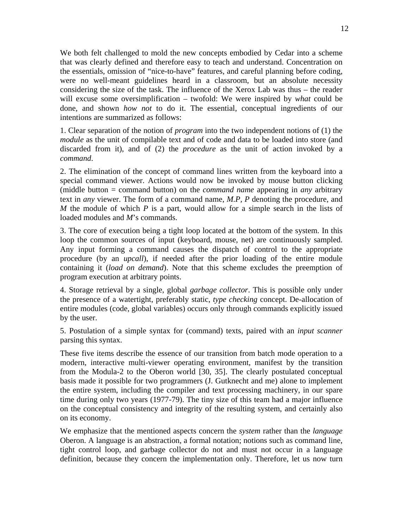We both felt challenged to mold the new concepts embodied by Cedar into a scheme that was clearly defined and therefore easy to teach and understand. Concentration on the essentials, omission of "nice-to-have" features, and careful planning before coding, were no well-meant guidelines heard in a classroom, but an absolute necessity considering the size of the task. The influence of the Xerox Lab was thus – the reader will excuse some oversimplification – twofold: We were inspired by *what* could be done, and shown *how not* to do it. The essential, conceptual ingredients of our intentions are summarized as follows:

1. Clear separation of the notion of *program* into the two independent notions of (1) the *module* as the unit of compilable text and of code and data to be loaded into store (and discarded from it), and of (2) the *procedure* as the unit of action invoked by a *command*.

2. The elimination of the concept of command lines written from the keyboard into a special command viewer. Actions would now be invoked by mouse button clicking (middle button = command button) on the *command name* appearing in *any* arbitrary text in *any* viewer. The form of a command name, *M.P, P* denoting the procedure, and *M* the module of which *P* is a part, would allow for a simple search in the lists of loaded modules and *M*'s commands.

3. The core of execution being a tight loop located at the bottom of the system. In this loop the common sources of input (keyboard, mouse, net) are continuously sampled. Any input forming a command causes the dispatch of control to the appropriate procedure (by an *upcall*), if needed after the prior loading of the entire module containing it (*load on demand*). Note that this scheme excludes the preemption of program execution at arbitrary points.

4. Storage retrieval by a single, global *garbage collector*. This is possible only under the presence of a watertight, preferably static, *type checking* concept. De-allocation of entire modules (code, global variables) occurs only through commands explicitly issued by the user.

5. Postulation of a simple syntax for (command) texts, paired with an *input scanner* parsing this syntax.

These five items describe the essence of our transition from batch mode operation to a modern, interactive multi-viewer operating environment, manifest by the transition from the Modula-2 to the Oberon world [30, 35]. The clearly postulated conceptual basis made it possible for two programmers (J. Gutknecht and me) alone to implement the entire system, including the compiler and text processing machinery, in our spare time during only two years (1977-79). The tiny size of this team had a major influence on the conceptual consistency and integrity of the resulting system, and certainly also on its economy.

We emphasize that the mentioned aspects concern the *system* rather than the *language* Oberon. A language is an abstraction, a formal notation; notions such as command line, tight control loop, and garbage collector do not and must not occur in a language definition, because they concern the implementation only. Therefore, let us now turn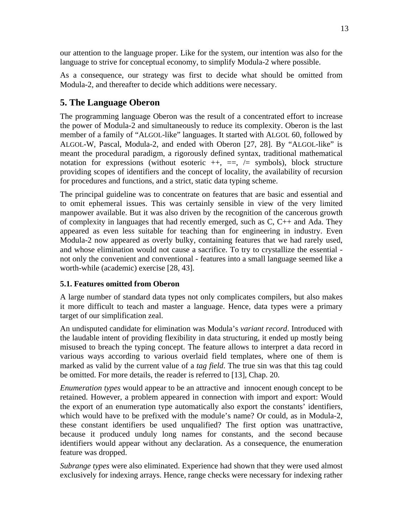our attention to the language proper. Like for the system, our intention was also for the language to strive for conceptual economy, to simplify Modula-2 where possible.

As a consequence, our strategy was first to decide what should be omitted from Modula-2, and thereafter to decide which additions were necessary.

# **5. The Language Oberon**

The programming language Oberon was the result of a concentrated effort to increase the power of Modula-2 and simultaneously to reduce its complexity. Oberon is the last member of a family of "ALGOL-like" languages. It started with ALGOL 60, followed by ALGOL-W, Pascal, Modula-2, and ended with Oberon [27, 28]. By "ALGOL-like" is meant the procedural paradigm, a rigorously defined syntax, traditional mathematical notation for expressions (without esoteric  $++$ ,  $==$ ,  $/=$  symbols), block structure providing scopes of identifiers and the concept of locality, the availability of recursion for procedures and functions, and a strict, static data typing scheme.

The principal guideline was to concentrate on features that are basic and essential and to omit ephemeral issues. This was certainly sensible in view of the very limited manpower available. But it was also driven by the recognition of the cancerous growth of complexity in languages that had recently emerged, such as C, C++ and Ada. They appeared as even less suitable for teaching than for engineering in industry. Even Modula-2 now appeared as overly bulky, containing features that we had rarely used, and whose elimination would not cause a sacrifice. To try to crystallize the essential not only the convenient and conventional - features into a small language seemed like a worth-while (academic) exercise [28, 43].

## **5.1. Features omitted from Oberon**

A large number of standard data types not only complicates compilers, but also makes it more difficult to teach and master a language. Hence, data types were a primary target of our simplification zeal.

An undisputed candidate for elimination was Modula's *variant record*. Introduced with the laudable intent of providing flexibility in data structuring, it ended up mostly being misused to breach the typing concept. The feature allows to interpret a data record in various ways according to various overlaid field templates, where one of them is marked as valid by the current value of a *tag field*. The true sin was that this tag could be omitted. For more details, the reader is referred to [13], Chap. 20.

*Enumeration types* would appear to be an attractive and innocent enough concept to be retained. However, a problem appeared in connection with import and export: Would the export of an enumeration type automatically also export the constants' identifiers, which would have to be prefixed with the module's name? Or could, as in Modula-2, these constant identifiers be used unqualified? The first option was unattractive, because it produced unduly long names for constants, and the second because identifiers would appear without any declaration. As a consequence, the enumeration feature was dropped.

*Subrange types* were also eliminated. Experience had shown that they were used almost exclusively for indexing arrays. Hence, range checks were necessary for indexing rather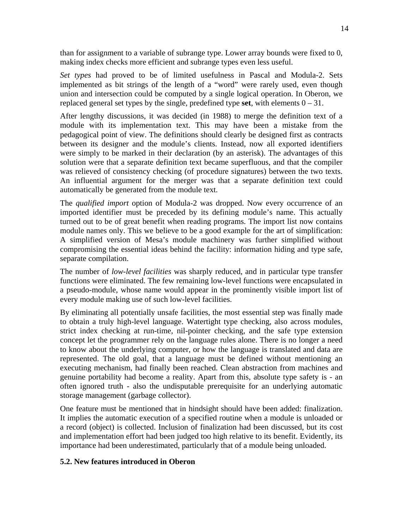than for assignment to a variable of subrange type. Lower array bounds were fixed to 0, making index checks more efficient and subrange types even less useful.

*Set types* had proved to be of limited usefulness in Pascal and Modula-2. Sets implemented as bit strings of the length of a "word" were rarely used, even though union and intersection could be computed by a single logical operation. In Oberon, we replaced general set types by the single, predefined type set, with elements  $0 - 31$ .

After lengthy discussions, it was decided (in 1988) to merge the definition text of a module with its implementation text. This may have been a mistake from the pedagogical point of view. The definitions should clearly be designed first as contracts between its designer and the module's clients. Instead, now all exported identifiers were simply to be marked in their declaration (by an asterisk). The advantages of this solution were that a separate definition text became superfluous, and that the compiler was relieved of consistency checking (of procedure signatures) between the two texts. An influential argument for the merger was that a separate definition text could automatically be generated from the module text.

The *qualified import* option of Modula-2 was dropped. Now every occurrence of an imported identifier must be preceded by its defining module's name. This actually turned out to be of great benefit when reading programs. The import list now contains module names only. This we believe to be a good example for the art of simplification: A simplified version of Mesa's module machinery was further simplified without compromising the essential ideas behind the facility: information hiding and type safe, separate compilation.

The number of *low-level facilities* was sharply reduced, and in particular type transfer functions were eliminated. The few remaining low-level functions were encapsulated in a pseudo-module, whose name would appear in the prominently visible import list of every module making use of such low-level facilities.

By eliminating all potentially unsafe facilities, the most essential step was finally made to obtain a truly high-level language. Watertight type checking, also across modules, strict index checking at run-time, nil-pointer checking, and the safe type extension concept let the programmer rely on the language rules alone. There is no longer a need to know about the underlying computer, or how the language is translated and data are represented. The old goal, that a language must be defined without mentioning an executing mechanism, had finally been reached. Clean abstraction from machines and genuine portability had become a reality. Apart from this, absolute type safety is - an often ignored truth - also the undisputable prerequisite for an underlying automatic storage management (garbage collector).

One feature must be mentioned that in hindsight should have been added: finalization. It implies the automatic execution of a specified routine when a module is unloaded or a record (object) is collected. Inclusion of finalization had been discussed, but its cost and implementation effort had been judged too high relative to its benefit. Evidently, its importance had been underestimated, particularly that of a module being unloaded.

### **5.2. New features introduced in Oberon**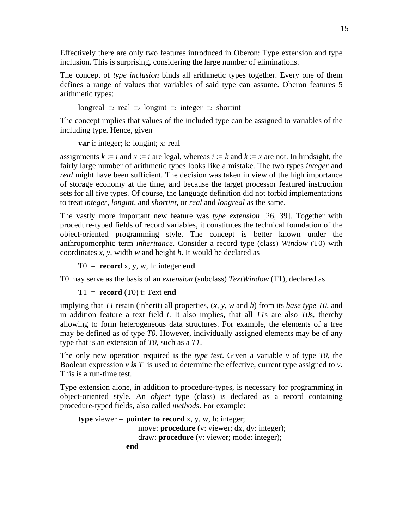Effectively there are only two features introduced in Oberon: Type extension and type inclusion. This is surprising, considering the large number of eliminations.

The concept of *type inclusion* binds all arithmetic types together. Every one of them defines a range of values that variables of said type can assume. Oberon features 5 arithmetic types:

longreal ⊇ real ⊇ longint ⊇ integer ⊇ shortint

The concept implies that values of the included type can be assigned to variables of the including type. Hence, given

**var** i: integer; k: longint; x: real

assignments  $k := i$  and  $x := i$  are legal, whereas  $i := k$  and  $k := x$  are not. In hindsight, the fairly large number of arithmetic types looks like a mistake. The two types *integer* and *real* might have been sufficient. The decision was taken in view of the high importance of storage economy at the time, and because the target processor featured instruction sets for all five types. Of course, the language definition did not forbid implementations to treat *integer, longint*, and *shortint*, or *real* and *longreal* as the same.

The vastly more important new feature was *type extension* [26, 39]. Together with procedure-typed fields of record variables, it constitutes the technical foundation of the object-oriented programming style. The concept is better known under the anthropomorphic term *inheritance*. Consider a record type (class) *Window* (T0) with coordinates *x, y,* width *w* and height *h*. It would be declared as

 $T0 =$  **record** x, y, w, h: integer **end** 

T0 may serve as the basis of an *extension* (subclass) *TextWindow* (T1), declared as

 $T1 = record (T0) t: Text end$ 

implying that *T1* retain (inherit) all properties, (*x, y, w* and *h*) from its *base type T0*, and in addition feature a text field *t*. It also implies, that all *T1*s are also *T0*s, thereby allowing to form heterogeneous data structures. For example, the elements of a tree may be defined as of type *T0*. However, individually assigned elements may be of any type that is an extension of *T0*, such as a *T1*.

The only new operation required is the *type test*. Given a variable *v* of type *T0*, the Boolean expression  $v$  *is*  $T$  is used to determine the effective, current type assigned to  $v$ . This is a run-time test.

Type extension alone, in addition to procedure-types, is necessary for programming in object-oriented style. An *object* type (class) is declared as a record containing procedure-typed fields, also called *methods*. For example:

```
type viewer = pointer to record x, y, w, h: integer;
                   move: procedure (v: viewer; dx, dy: integer); 
                   draw: procedure (v: viewer; mode: integer); 
               end
```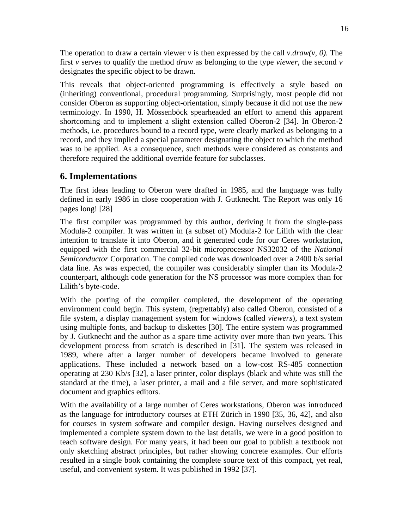The operation to draw a certain viewer *v* is then expressed by the call *v.draw(v, 0).* The first *v* serves to qualify the method *draw* as belonging to the type *viewer*, the second *v* designates the specific object to be drawn.

This reveals that object-oriented programming is effectively a style based on (inheriting) conventional, procedural programming. Surprisingly, most people did not consider Oberon as supporting object-orientation, simply because it did not use the new terminology. In 1990, H. Mössenböck spearheaded an effort to amend this apparent shortcoming and to implement a slight extension called Oberon-2 [34]. In Oberon-2 methods, i.e. procedures bound to a record type, were clearly marked as belonging to a record, and they implied a special parameter designating the object to which the method was to be applied. As a consequence, such methods were considered as constants and therefore required the additional override feature for subclasses.

# **6. Implementations**

The first ideas leading to Oberon were drafted in 1985, and the language was fully defined in early 1986 in close cooperation with J. Gutknecht. The Report was only 16 pages long! [28]

The first compiler was programmed by this author, deriving it from the single-pass Modula-2 compiler. It was written in (a subset of) Modula-2 for Lilith with the clear intention to translate it into Oberon, and it generated code for our Ceres workstation, equipped with the first commercial 32-bit microprocessor NS32032 of the *National Semiconductor* Corporation. The compiled code was downloaded over a 2400 b/s serial data line. As was expected, the compiler was considerably simpler than its Modula-2 counterpart, although code generation for the NS processor was more complex than for Lilith's byte-code.

With the porting of the compiler completed, the development of the operating environment could begin. This system, (regrettably) also called Oberon, consisted of a file system, a display management system for windows (called *viewers*), a text system using multiple fonts, and backup to diskettes [30]. The entire system was programmed by J. Gutknecht and the author as a spare time activity over more than two years. This development process from scratch is described in [31]. The system was released in 1989, where after a larger number of developers became involved to generate applications. These included a network based on a low-cost RS-485 connection operating at 230 Kb/s [32], a laser printer, color displays (black and white was still the standard at the time), a laser printer, a mail and a file server, and more sophisticated document and graphics editors.

With the availability of a large number of Ceres workstations, Oberon was introduced as the language for introductory courses at ETH Zürich in 1990 [35, 36, 42], and also for courses in system software and compiler design. Having ourselves designed and implemented a complete system down to the last details, we were in a good position to teach software design. For many years, it had been our goal to publish a textbook not only sketching abstract principles, but rather showing concrete examples. Our efforts resulted in a single book containing the complete source text of this compact, yet real, useful, and convenient system. It was published in 1992 [37].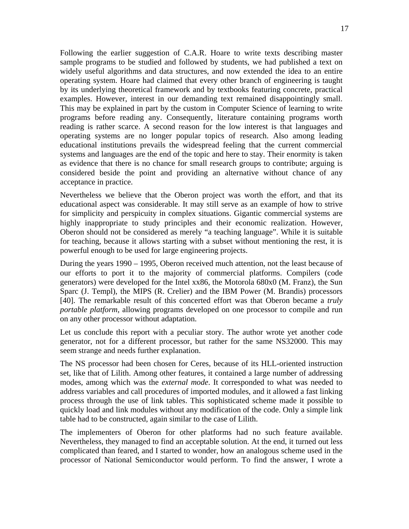Following the earlier suggestion of C.A.R. Hoare to write texts describing master sample programs to be studied and followed by students, we had published a text on widely useful algorithms and data structures, and now extended the idea to an entire operating system. Hoare had claimed that every other branch of engineering is taught by its underlying theoretical framework and by textbooks featuring concrete, practical examples. However, interest in our demanding text remained disappointingly small. This may be explained in part by the custom in Computer Science of learning to write programs before reading any. Consequently, literature containing programs worth reading is rather scarce. A second reason for the low interest is that languages and operating systems are no longer popular topics of research. Also among leading educational institutions prevails the widespread feeling that the current commercial systems and languages are the end of the topic and here to stay. Their enormity is taken as evidence that there is no chance for small research groups to contribute; arguing is considered beside the point and providing an alternative without chance of any acceptance in practice.

Nevertheless we believe that the Oberon project was worth the effort, and that its educational aspect was considerable. It may still serve as an example of how to strive for simplicity and perspicuity in complex situations. Gigantic commercial systems are highly inappropriate to study principles and their economic realization. However, Oberon should not be considered as merely "a teaching language". While it is suitable for teaching, because it allows starting with a subset without mentioning the rest, it is powerful enough to be used for large engineering projects.

During the years 1990 – 1995, Oberon received much attention, not the least because of our efforts to port it to the majority of commercial platforms. Compilers (code generators) were developed for the Intel xx86, the Motorola 680x0 (M. Franz), the Sun Sparc (J. Templ), the MIPS (R. Crelier) and the IBM Power (M. Brandis) processors [40]. The remarkable result of this concerted effort was that Oberon became a *truly portable platform*, allowing programs developed on one processor to compile and run on any other processor without adaptation.

Let us conclude this report with a peculiar story. The author wrote yet another code generator, not for a different processor, but rather for the same NS32000. This may seem strange and needs further explanation.

The NS processor had been chosen for Ceres, because of its HLL-oriented instruction set, like that of Lilith. Among other features, it contained a large number of addressing modes, among which was the *external mode*. It corresponded to what was needed to address variables and call procedures of imported modules, and it allowed a fast linking process through the use of link tables. This sophisticated scheme made it possible to quickly load and link modules without any modification of the code. Only a simple link table had to be constructed, again similar to the case of Lilith.

The implementers of Oberon for other platforms had no such feature available. Nevertheless, they managed to find an acceptable solution. At the end, it turned out less complicated than feared, and I started to wonder, how an analogous scheme used in the processor of National Semiconductor would perform. To find the answer, I wrote a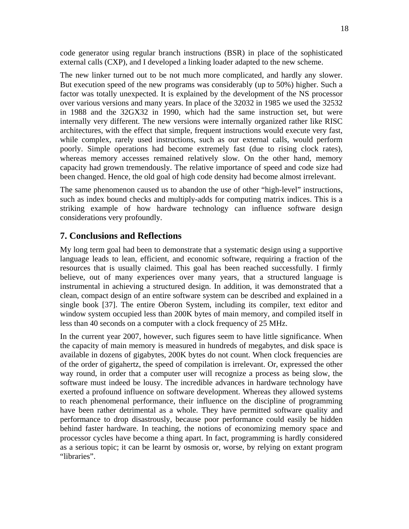code generator using regular branch instructions (BSR) in place of the sophisticated external calls (CXP), and I developed a linking loader adapted to the new scheme.

The new linker turned out to be not much more complicated, and hardly any slower. But execution speed of the new programs was considerably (up to 50%) higher. Such a factor was totally unexpected. It is explained by the development of the NS processor over various versions and many years. In place of the 32032 in 1985 we used the 32532 in 1988 and the 32GX32 in 1990, which had the same instruction set, but were internally very different. The new versions were internally organized rather like RISC architectures, with the effect that simple, frequent instructions would execute very fast, while complex, rarely used instructions, such as our external calls, would perform poorly. Simple operations had become extremely fast (due to rising clock rates), whereas memory accesses remained relatively slow. On the other hand, memory capacity had grown tremendously. The relative importance of speed and code size had been changed. Hence, the old goal of high code density had become almost irrelevant.

The same phenomenon caused us to abandon the use of other "high-level" instructions, such as index bound checks and multiply-adds for computing matrix indices. This is a striking example of how hardware technology can influence software design considerations very profoundly.

# **7. Conclusions and Reflections**

My long term goal had been to demonstrate that a systematic design using a supportive language leads to lean, efficient, and economic software, requiring a fraction of the resources that is usually claimed. This goal has been reached successfully. I firmly believe, out of many experiences over many years, that a structured language is instrumental in achieving a structured design. In addition, it was demonstrated that a clean, compact design of an entire software system can be described and explained in a single book [37]. The entire Oberon System, including its compiler, text editor and window system occupied less than 200K bytes of main memory, and compiled itself in less than 40 seconds on a computer with a clock frequency of 25 MHz.

In the current year 2007, however, such figures seem to have little significance. When the capacity of main memory is measured in hundreds of megabytes, and disk space is available in dozens of gigabytes, 200K bytes do not count. When clock frequencies are of the order of gigahertz, the speed of compilation is irrelevant. Or, expressed the other way round, in order that a computer user will recognize a process as being slow, the software must indeed be lousy. The incredible advances in hardware technology have exerted a profound influence on software development. Whereas they allowed systems to reach phenomenal performance, their influence on the discipline of programming have been rather detrimental as a whole. They have permitted software quality and performance to drop disastrously, because poor performance could easily be hidden behind faster hardware. In teaching, the notions of economizing memory space and processor cycles have become a thing apart. In fact, programming is hardly considered as a serious topic; it can be learnt by osmosis or, worse, by relying on extant program "libraries".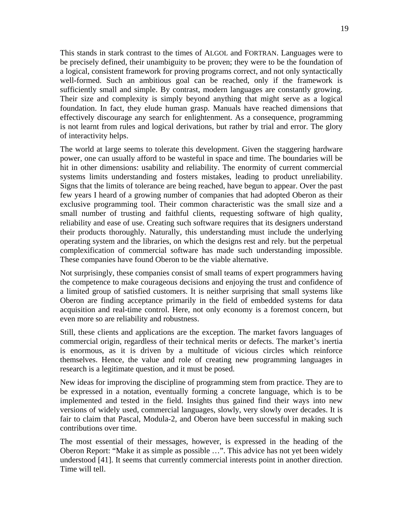This stands in stark contrast to the times of ALGOL and FORTRAN. Languages were to be precisely defined, their unambiguity to be proven; they were to be the foundation of a logical, consistent framework for proving programs correct, and not only syntactically well-formed. Such an ambitious goal can be reached, only if the framework is sufficiently small and simple. By contrast, modern languages are constantly growing. Their size and complexity is simply beyond anything that might serve as a logical foundation. In fact, they elude human grasp. Manuals have reached dimensions that effectively discourage any search for enlightenment. As a consequence, programming is not learnt from rules and logical derivations, but rather by trial and error. The glory of interactivity helps.

The world at large seems to tolerate this development. Given the staggering hardware power, one can usually afford to be wasteful in space and time. The boundaries will be hit in other dimensions: usability and reliability. The enormity of current commercial systems limits understanding and fosters mistakes, leading to product unreliability. Signs that the limits of tolerance are being reached, have begun to appear. Over the past few years I heard of a growing number of companies that had adopted Oberon as their exclusive programming tool. Their common characteristic was the small size and a small number of trusting and faithful clients, requesting software of high quality, reliability and ease of use. Creating such software requires that its designers understand their products thoroughly. Naturally, this understanding must include the underlying operating system and the libraries, on which the designs rest and rely. but the perpetual complexification of commercial software has made such understanding impossible. These companies have found Oberon to be the viable alternative.

Not surprisingly, these companies consist of small teams of expert programmers having the competence to make courageous decisions and enjoying the trust and confidence of a limited group of satisfied customers. It is neither surprising that small systems like Oberon are finding acceptance primarily in the field of embedded systems for data acquisition and real-time control. Here, not only economy is a foremost concern, but even more so are reliability and robustness.

Still, these clients and applications are the exception. The market favors languages of commercial origin, regardless of their technical merits or defects. The market's inertia is enormous, as it is driven by a multitude of vicious circles which reinforce themselves. Hence, the value and role of creating new programming languages in research is a legitimate question, and it must be posed.

New ideas for improving the discipline of programming stem from practice. They are to be expressed in a notation, eventually forming a concrete language, which is to be implemented and tested in the field. Insights thus gained find their ways into new versions of widely used, commercial languages, slowly, very slowly over decades. It is fair to claim that Pascal, Modula-2, and Oberon have been successful in making such contributions over time.

The most essential of their messages, however, is expressed in the heading of the Oberon Report: "Make it as simple as possible …". This advice has not yet been widely understood [41]. It seems that currently commercial interests point in another direction. Time will tell.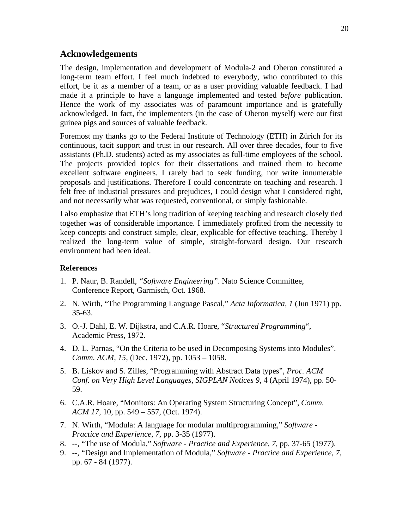### **Acknowledgements**

The design, implementation and development of Modula-2 and Oberon constituted a long-term team effort. I feel much indebted to everybody, who contributed to this effort, be it as a member of a team, or as a user providing valuable feedback. I had made it a principle to have a language implemented and tested *before* publication. Hence the work of my associates was of paramount importance and is gratefully acknowledged. In fact, the implementers (in the case of Oberon myself) were our first guinea pigs and sources of valuable feedback.

Foremost my thanks go to the Federal Institute of Technology (ETH) in Zürich for its continuous, tacit support and trust in our research. All over three decades, four to five assistants (Ph.D. students) acted as my associates as full-time employees of the school. The projects provided topics for their dissertations and trained them to become excellent software engineers. I rarely had to seek funding, nor write innumerable proposals and justifications. Therefore I could concentrate on teaching and research. I felt free of industrial pressures and prejudices, I could design what I considered right, and not necessarily what was requested, conventional, or simply fashionable.

I also emphasize that ETH's long tradition of keeping teaching and research closely tied together was of considerable importance. I immediately profited from the necessity to keep concepts and construct simple, clear, explicable for effective teaching. Thereby I realized the long-term value of simple, straight-forward design. Our research environment had been ideal.

### **References**

- 1. P. Naur, B. Randell, *"Software Engineering"*. Nato Science Committee, Conference Report, Garmisch, Oct. 1968.
- 2. N. Wirth, "The Programming Language Pascal," *Acta Informatica, 1* (Jun 1971) pp. 35-63.
- 3. O.-J. Dahl, E. W. Dijkstra, and C.A.R. Hoare, "*Structured Programming*", Academic Press, 1972.
- 4. D. L. Parnas, "On the Criteria to be used in Decomposing Systems into Modules". *Comm. ACM, 15,* (Dec. 1972), pp. 1053 – 1058.
- 5. B. Liskov and S. Zilles, "Programming with Abstract Data types", *Proc. ACM Conf. on Very High Level Languages, SIGPLAN Notices 9,* 4 (April 1974), pp. 50- 59.
- 6. C.A.R. Hoare, "Monitors: An Operating System Structuring Concept", *Comm. ACM 17,* 10, pp. 549 – 557, (Oct. 1974).
- 7. N. Wirth, "Modula: A language for modular multiprogramming," *Software Practice and Experience, 7*, pp. 3-35 (1977).
- 8. --, "The use of Modula," *Software Practice and Experience, 7,* pp. 37-65 (1977).
- 9. --, "Design and Implementation of Modula," *Software Practice and Experience, 7*, pp. 67 - 84 (1977).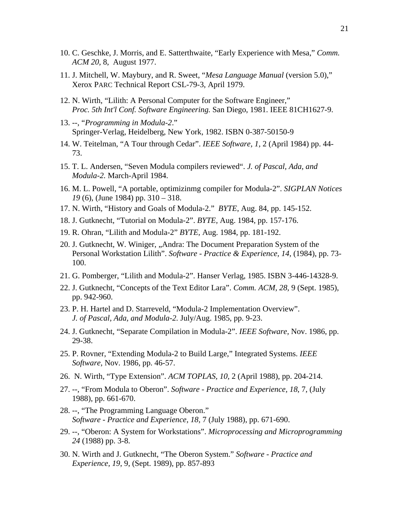- 10. C. Geschke, J. Morris, and E. Satterthwaite, "Early Experience with Mesa," *Comm. ACM 20,* 8, August 1977.
- 11. J. Mitchell, W. Maybury, and R. Sweet, "*Mesa Language Manual* (version 5.0)," Xerox PARC Technical Report CSL-79-3, April 1979.
- 12. N. Wirth, "Lilith: A Personal Computer for the Software Engineer," *Proc. 5th Int'l Conf. Software Engineering.* San Diego, 1981. IEEE 81CH1627-9.
- 13. --, "*Programming in Modula-2*." Springer-Verlag, Heidelberg, New York, 1982. ISBN 0-387-50150-9
- 14. W. Teitelman, "A Tour through Cedar". *IEEE Software, 1,* 2 (April 1984) pp. 44- 73.
- 15. T. L. Andersen, "Seven Modula compilers reviewed". *J. of Pascal, Ada, and Modula-2.* March-April 1984.
- 16. M. L. Powell, "A portable, optimizinmg compiler for Modula-2". *SIGPLAN Notices 19* (6), (June 1984) pp. 310 – 318.
- 17. N. Wirth, "History and Goals of Modula-2." *BYTE*, Aug. 84, pp. 145-152.
- 18. J. Gutknecht, "Tutorial on Modula-2". *BYTE,* Aug. 1984, pp. 157-176.
- 19. R. Ohran, "Lilith and Modula-2" *BYTE,* Aug. 1984, pp. 181-192.
- 20. J. Gutknecht, W. Winiger, "Andra: The Document Preparation System of the Personal Workstation Lilith". *Software - Practice & Experience, 14,* (1984), pp. 73- 100.
- 21. G. Pomberger, "Lilith and Modula-2". Hanser Verlag, 1985. ISBN 3-446-14328-9.
- 22. J. Gutknecht, "Concepts of the Text Editor Lara". *Comm. ACM, 28,* 9 (Sept. 1985), pp. 942-960.
- 23. P. H. Hartel and D. Starreveld, "Modula-2 Implementation Overview". *J. of Pascal, Ada, and Modula-2.* July/Aug. 1985, pp. 9-23.
- 24. J. Gutknecht, "Separate Compilation in Modula-2". *IEEE Software,* Nov. 1986, pp. 29-38.
- 25. P. Rovner, "Extending Modula-2 to Build Large," Integrated Systems. *IEEE Software,* Nov. 1986, pp. 46-57.
- 26. N. Wirth, "Type Extension". *ACM TOPLAS, 10,* 2 (April 1988), pp. 204-214.
- 27. --, "From Modula to Oberon". *Software Practice and Experience, 18*, 7, (July 1988), pp. 661-670.
- 28. --, "The Programming Language Oberon." *Software - Practice and Experience, 18,* 7 (July 1988), pp. 671-690.
- 29. --, "Oberon: A System for Workstations". *Microprocessing and Microprogramming 24* (1988) pp. 3-8.
- 30. N. Wirth and J. Gutknecht, "The Oberon System." *Software Practice and Experience, 19*, 9, (Sept. 1989), pp. 857-893